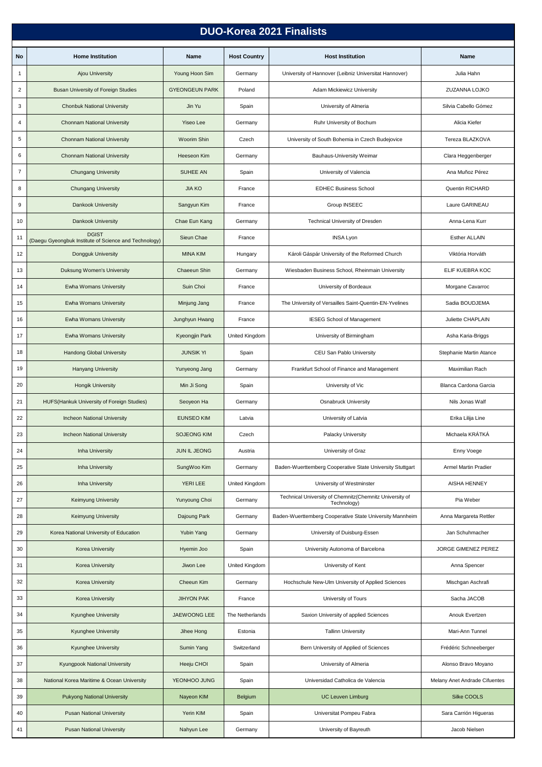| <b>DUO-Korea 2021 Finalists</b> |                                                                       |                       |                     |                                                                         |                               |  |  |  |  |
|---------------------------------|-----------------------------------------------------------------------|-----------------------|---------------------|-------------------------------------------------------------------------|-------------------------------|--|--|--|--|
| No                              | <b>Home Institution</b>                                               | Name                  | <b>Host Country</b> | <b>Host Institution</b>                                                 | Name                          |  |  |  |  |
| $\mathbf{1}$                    | <b>Ajou University</b>                                                | Young Hoon Sim        | Germany             | University of Hannover (Leibniz Universitat Hannover)                   | Julia Hahn                    |  |  |  |  |
| $\overline{c}$                  | Busan University of Foreign Studies                                   | <b>GYEONGEUN PARK</b> | Poland              | Adam Mickiewicz University                                              | ZUZANNA LOJKO                 |  |  |  |  |
| 3                               |                                                                       | Jin Yu                | Spain               | University of Almeria                                                   | Silvia Cabello Gómez          |  |  |  |  |
|                                 | <b>Chonbuk National University</b>                                    | <b>Yiseo Lee</b>      |                     |                                                                         |                               |  |  |  |  |
| 4                               | <b>Chonnam National University</b>                                    |                       | Germany             | Ruhr University of Bochum                                               | Alicia Kiefer                 |  |  |  |  |
| 5                               | <b>Chonnam National University</b>                                    | <b>Woorim Shin</b>    | Czech               | University of South Bohemia in Czech Budejovice                         | Tereza BLAZKOVA               |  |  |  |  |
| 6                               | <b>Chonnam National University</b>                                    | Heeseon Kim           | Germany             | Bauhaus-University Weimar                                               | Clara Heggenberger            |  |  |  |  |
| $\overline{7}$                  | <b>Chungang University</b>                                            | <b>SUHEE AN</b>       | Spain               | University of Valencia                                                  | Ana Muñoz Pérez               |  |  |  |  |
| 8                               | <b>Chungang University</b>                                            | <b>JIA KO</b>         | France              | <b>EDHEC Business School</b>                                            | Quentin RICHARD               |  |  |  |  |
| 9                               | <b>Dankook University</b>                                             | Sangyun Kim           | France              | Group INSEEC                                                            | Laure GARINEAU                |  |  |  |  |
| 10                              | <b>Dankook University</b>                                             | Chae Eun Kang         | Germany             | Technical University of Dresden                                         | Anna-Lena Kurr                |  |  |  |  |
| 11                              | <b>DGIST</b><br>(Daegu Gyeongbuk Institute of Science and Technology) | Sieun Chae            | France              | <b>INSA Lyon</b>                                                        | <b>Esther ALLAIN</b>          |  |  |  |  |
| 12                              | Dongguk University                                                    | <b>MINA KIM</b>       | Hungary             | Károli Gáspár University of the Reformed Church                         | Viktória Horváth              |  |  |  |  |
| 13                              | Duksung Women's University                                            | Chaeeun Shin          | Germany             | Wiesbaden Business School, Rheinmain University                         | ELIF KUEBRA KOC               |  |  |  |  |
| 14                              | Ewha Womans University                                                | Suin Choi             | France              | University of Bordeaux                                                  | Morgane Cavarroc              |  |  |  |  |
| 15                              | Ewha Womans University                                                | Minjung Jang          | France              | The University of Versailles Saint-Quentin-EN-Yvelines                  | Sadia BOUDJEMA                |  |  |  |  |
| 16                              | Ewha Womans University                                                | Junghyun Hwang        | France              | <b>IESEG School of Management</b>                                       | Juliette CHAPLAIN             |  |  |  |  |
| 17                              | Ewha Womans University                                                | Kyeongjin Park        | United Kingdom      | University of Birmingham                                                | Asha Karia-Briggs             |  |  |  |  |
| 18                              | <b>Handong Global University</b>                                      | <b>JUNSIK YI</b>      | Spain               | CEU San Pablo University                                                | Stephanie Martin Atance       |  |  |  |  |
| 19                              | <b>Hanyang University</b>                                             | Yunyeong Jang         | Germany             | Frankfurt School of Finance and Management                              | Maximilian Rach               |  |  |  |  |
| 20                              | <b>Hongik University</b>                                              | Min Ji Song           | Spain               | University of Vic                                                       | Blanca Cardona Garcia         |  |  |  |  |
| 21                              | HUFS(Hankuk University of Foreign Studies)                            | Seoyeon Ha            | Germany             | <b>Osnabruck University</b>                                             | Nils Jonas Walf               |  |  |  |  |
| 22                              | <b>Incheon National University</b>                                    | <b>EUNSEO KIM</b>     | Latvia              | University of Latvia                                                    | Erika Lilija Line             |  |  |  |  |
| 23                              | Incheon National University                                           | <b>SOJEONG KIM</b>    | Czech               | Palacky University                                                      | Michaela KRÁTKÁ               |  |  |  |  |
| 24                              | Inha University                                                       | JUN IL JEONG          | Austria             | University of Graz                                                      | Enny Voege                    |  |  |  |  |
| 25                              | <b>Inha University</b>                                                | SungWoo Kim           | Germany             | Baden-Wuerttemberg Cooperative State University Stuttgart               | Armel Martin Pradier          |  |  |  |  |
| 26                              | <b>Inha University</b>                                                | YERI LEE              | United Kingdom      | University of Westminster                                               | <b>AISHA HENNEY</b>           |  |  |  |  |
| 27                              | Keimyung University                                                   | Yunyoung Choi         | Germany             | Technical University of Chemnitz (Chemnitz University of<br>Technology) | Pia Weber                     |  |  |  |  |
| 28                              | <b>Keimyung University</b>                                            | Dajoung Park          | Germany             | Baden-Wuerttemberg Cooperative State University Mannheim                | Anna Margareta Rettler        |  |  |  |  |
| 29                              | Korea National University of Education                                | Yubin Yang            | Germany             | University of Duisburg-Essen                                            | Jan Schuhmacher               |  |  |  |  |
| 30                              | Korea University                                                      | Hyemin Joo            | Spain               | University Autonoma of Barcelona                                        | JORGE GIMENEZ PEREZ           |  |  |  |  |
| 31                              | Korea University                                                      | Jiwon Lee             | United Kingdom      | University of Kent                                                      | Anna Spencer                  |  |  |  |  |
| 32                              | Korea University                                                      | Cheeun Kim            | Germany             | Hochschule New-Ulm University of Applied Sciences                       | Mischgan Aschrafi             |  |  |  |  |
| 33                              | Korea University                                                      | <b>JIHYON PAK</b>     | France              | University of Tours                                                     | Sacha JACOB                   |  |  |  |  |
| 34                              | Kyunghee University                                                   | <b>JAEWOONG LEE</b>   | The Netherlands     | Saxion University of applied Sciences                                   | Anouk Evertzen                |  |  |  |  |
| 35                              | Kyunghee University                                                   | Jihee Hong            | Estonia             | <b>Tallinn University</b>                                               | Mari-Ann Tunnel               |  |  |  |  |
| 36                              | <b>Kyunghee University</b>                                            | Sumin Yang            | Switzerland         | Bern University of Applied of Sciences                                  | Frédéric Schneeberger         |  |  |  |  |
| 37                              | Kyungpook National University                                         | Heeju CHOI            | Spain               | University of Almeria                                                   | Alonso Bravo Moyano           |  |  |  |  |
| 38                              | National Korea Maritime & Ocean University                            | YEONHOO JUNG          | Spain               | Universidad Catholica de Valencia                                       | Melany Anet Andrade Cifuentes |  |  |  |  |
| 39                              | <b>Pukyong National University</b>                                    | Nayeon KIM            | Belgium             | <b>UC Leuven Limburg</b>                                                | Silke COOLS                   |  |  |  |  |
| 40                              | <b>Pusan National University</b>                                      | Yerin KIM             | Spain               | Universitat Pompeu Fabra                                                | Sara Carrión Higueras         |  |  |  |  |
| 41                              | <b>Pusan National University</b>                                      | Nahyun Lee            | Germany             | University of Bayreuth                                                  | Jacob Nielsen                 |  |  |  |  |